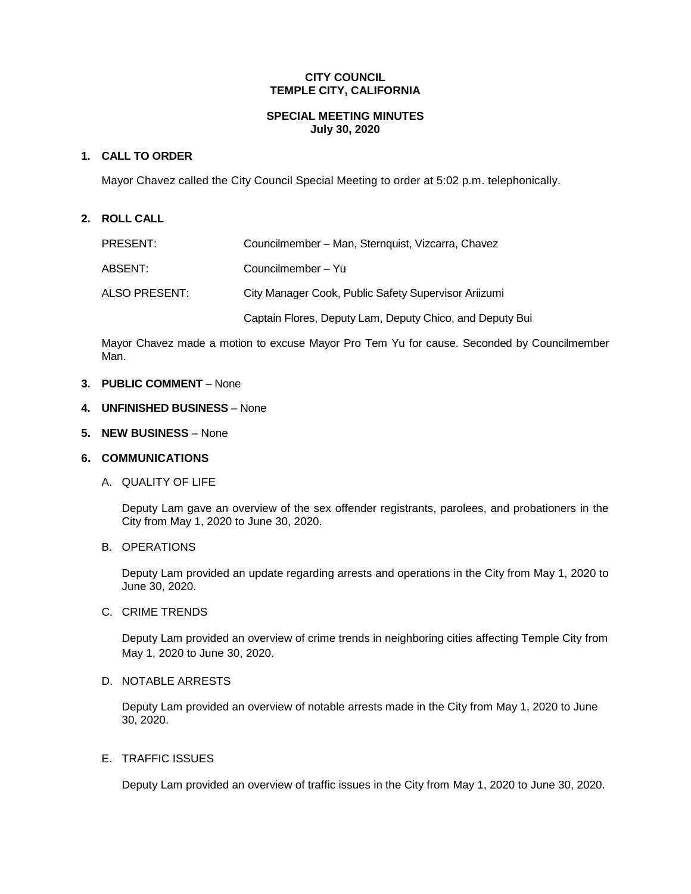# **CITY COUNCIL TEMPLE CITY, CALIFORNIA**

### **SPECIAL MEETING MINUTES July 30, 2020**

## **1. CALL TO ORDER**

Mayor Chavez called the City Council Special Meeting to order at 5:02 p.m. telephonically.

#### **2. ROLL CALL**

| PRESENT:      | Councilmember - Man, Sternquist, Vizcarra, Chavez        |
|---------------|----------------------------------------------------------|
| ABSENT:       | Councilmember – Yu                                       |
| ALSO PRESENT: | City Manager Cook, Public Safety Supervisor Ariizumi     |
|               | Captain Flores, Deputy Lam, Deputy Chico, and Deputy Bui |

Mayor Chavez made a motion to excuse Mayor Pro Tem Yu for cause. Seconded by Councilmember Man.

#### **3. PUBLIC COMMENT** – None

#### **4. UNFINISHED BUSINESS** – None

**5. NEW BUSINESS** – None

### **6. COMMUNICATIONS**

A. QUALITY OF LIFE

Deputy Lam gave an overview of the sex offender registrants, parolees, and probationers in the City from May 1, 2020 to June 30, 2020.

# B. OPERATIONS

Deputy Lam provided an update regarding arrests and operations in the City from May 1, 2020 to June 30, 2020.

## C. CRIME TRENDS

Deputy Lam provided an overview of crime trends in neighboring cities affecting Temple City from May 1, 2020 to June 30, 2020.

### D. NOTABLE ARRESTS

Deputy Lam provided an overview of notable arrests made in the City from May 1, 2020 to June 30, 2020.

### E. TRAFFIC ISSUES

Deputy Lam provided an overview of traffic issues in the City from May 1, 2020 to June 30, 2020.